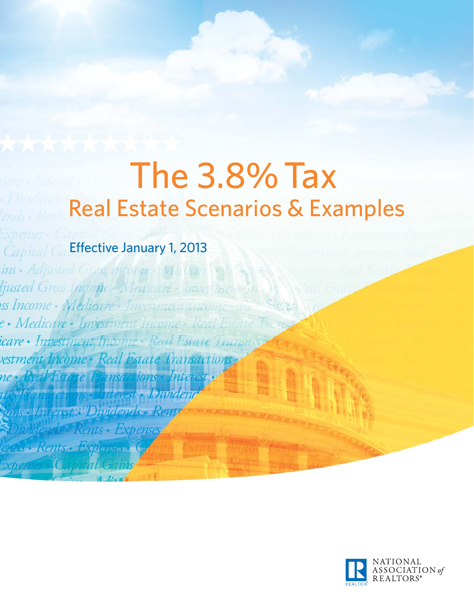# The 3.8% Tax Real Estate Scenarios & Examples

# Effective January 1, 2013

Capital

ins Adjusted Gress income Melican ljusted Gross Income Medicare : Traves ss Income Medicare Investment Incon e • Medicare • Investment Income • Real Estate  $147.795$ icare • Investment Income • Real Estate Transacti vestment Income · Real Estate Transactions ne -

est : Dimidends - Ren

ents • Expense

Renis Esperant

NATIONAL<br>ASSOCIATION of REALTORS®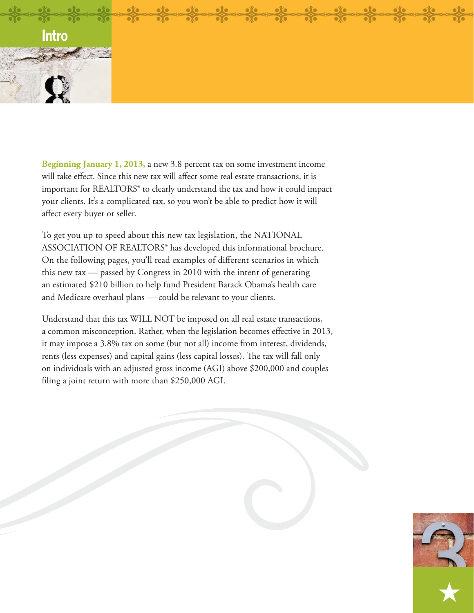

**Beginning January 1, 2013,** a new 3.8 percent tax on some investment income will take effect. Since this new tax will affect some real estate transactions, it is important for REALTORS® to clearly understand the tax and how it could impact your clients. It's a complicated tax, so you won't be able to predict how it will affect every buyer or seller.

To get you up to speed about this new tax legislation, the NATIONAL ASSOCIATION OF REALTORS® has developed this informational brochure. On the following pages, you'll read examples of different scenarios in which this new tax — passed by Congress in 2010 with the intent of generating an estimated \$210 billion to help fund President Barack Obama's health care and Medicare overhaul plans — could be relevant to your clients.

Understand that this tax WILL NOT be imposed on all real estate transactions, a common misconception. Rather, when the legislation becomes effective in 2013, it may impose a 3.8% tax on some (but not all) income from interest, dividends, rents (less expenses) and capital gains (less capital losses). The tax will fall only on individuals with an adjusted gross income (AGI) above \$200,000 and couples filing a joint return with more than  $$250,000$  AGI.

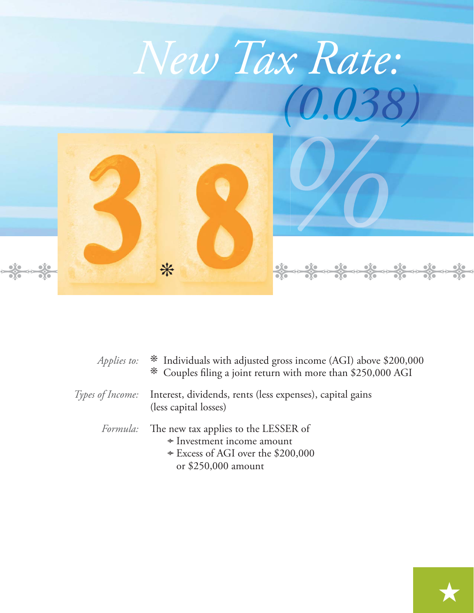

| Applies to: * Individuals with adjusted gross income (AGI) above \$200,000<br>* Couples filing a joint return with more than \$250,000 AGI       |
|--------------------------------------------------------------------------------------------------------------------------------------------------|
| <i>Types of Income:</i> Interest, dividends, rents (less expenses), capital gains<br>(less capital losses)                                       |
| <i>Formula:</i> The new tax applies to the LESSER of<br>* Investment income amount<br>* Excess of AGI over the \$200,000<br>or $$250,000$ amount |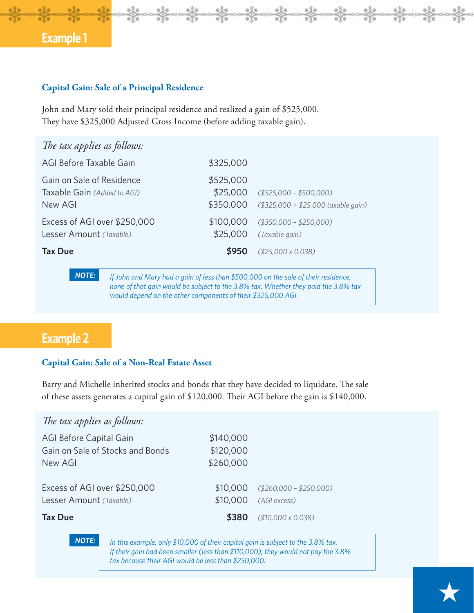### **Capital Gain: Sale of a Principal Residence**

John and Mary sold their principal residence and realized a gain of \$525,000. They have \$325,000 Adjusted Gross Income (before adding taxable gain).

| The tax applies as follows:                                                                                                                                                                                                                              |  |                                    |                                                                |
|----------------------------------------------------------------------------------------------------------------------------------------------------------------------------------------------------------------------------------------------------------|--|------------------------------------|----------------------------------------------------------------|
| AGI Before Taxable Gain                                                                                                                                                                                                                                  |  | \$325,000                          |                                                                |
| Gain on Sale of Residence<br>Taxable Gain (Added to AGI)<br>New AGI                                                                                                                                                                                      |  | \$525,000<br>\$25,000<br>\$350,000 | $($525,000 - $500,000)$<br>$($325,000 + $25,000$ taxable gain) |
| Excess of AGI over \$250,000<br>Lesser Amount (Taxable)                                                                                                                                                                                                  |  | \$100,000<br>\$25,000              | $($350,000 - $250,000)$<br>(Taxable gain)                      |
| <b>Tax Due</b>                                                                                                                                                                                                                                           |  | \$950                              | $( $25,000 \times 0.038)$                                      |
| <b>NOTE:</b><br>If John and Mary had a gain of less than \$500,000 on the sale of their residence,<br>none of that gain would be subject to the 3.8% tax. Whether they paid the 3.8% tax<br>would depend on the other components of their \$325,000 AGI. |  |                                    |                                                                |

 $\frac{1}{\sqrt{2}}$ 

 $\frac{5}{20}$ 

 $\leftrightarrow$ 

 $\leftrightarrow$ 

**D**<sub>C</sub>

œ

**D**<sub>C</sub>

¢

# **Example 2**

### **Capital Gain: Sale of a Non-Real Estate Asset**

Barry and Michelle inherited stocks and bonds that they have decided to liquidate. The sale of these assets generates a capital gain of \$120,000. Their AGI before the gain is \$140,000.

| The tax applies as follows:                                            |                                     |                                                   |
|------------------------------------------------------------------------|-------------------------------------|---------------------------------------------------|
| AGI Before Capital Gain<br>Gain on Sale of Stocks and Bonds<br>New AGI | \$140,000<br>\$120,000<br>\$260,000 |                                                   |
| Excess of AGI over \$250,000<br>Lesser Amount (Taxable)                | \$10,000                            | $$10,000$ (\$260,000 - \$250,000)<br>(AGI excess) |
| <b>Tax Due</b>                                                         | \$380                               | $( $10,000 \times 0.038 )$                        |

*NOTE:*

*In this example, only \$10,000 of their capital gain is subject to the 3.8% tax. If their gain had been smaller (less than \$110,000), they would not pay the 3.8% tax because their AGI would be less than \$250,000.*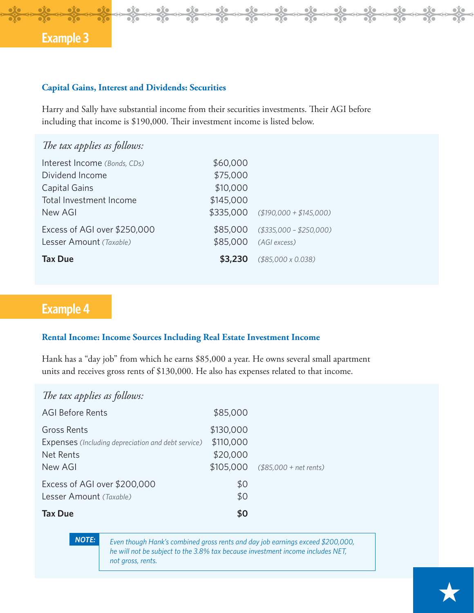### **Capital Gains, Interest and Dividends: Securities**

Harry and Sally have substantial income from their securities investments. Their AGI before including that income is \$190,000. Their investment income is listed below.

| The tax applies as follows:  |           |                                    |
|------------------------------|-----------|------------------------------------|
| Interest Income (Bonds, CDs) | \$60,000  |                                    |
| Dividend Income              | \$75,000  |                                    |
| Capital Gains                | \$10,000  |                                    |
| Total Investment Income      | \$145,000 |                                    |
| New AGI                      |           | $$335,000$ (\$190,000 + \$145,000) |
| Excess of AGI over \$250,000 | \$85,000  | $( $335,000 - $250,000)$           |
| Lesser Amount (Taxable)      | \$85,000  | (AGI excess)                       |
| <b>Tax Due</b>               | \$3,230   | $($85,000 \times 0.038)$           |

# **Example 4**

### **Rental Income: Income Sources Including Real Estate Investment Income**

Hank has a "day job" from which he earns \$85,000 a year. He owns several small apartment units and receives gross rents of \$130,000. He also has expenses related to that income.

### *The tax applies as follows:*

| <b>AGI Before Rents</b>                                                                          | \$85,000                                        |                         |
|--------------------------------------------------------------------------------------------------|-------------------------------------------------|-------------------------|
| Gross Rents<br><b>Expenses</b> (Including depreciation and debt service)<br>Net Rents<br>New AGI | \$130,000<br>\$110,000<br>\$20,000<br>\$105,000 | $($85,000 + net$ rents) |
| Excess of AGI over \$200,000<br>Lesser Amount (Taxable)<br><b>Tax Due</b>                        | \$0<br>\$0<br>\$Ο                               |                         |

*NOTE:*

*Even though Hank's combined gross rents and day job earnings exceed \$200,000, he will not be subject to the 3.8% tax because investment income includes NET, not gross, rents.*

œ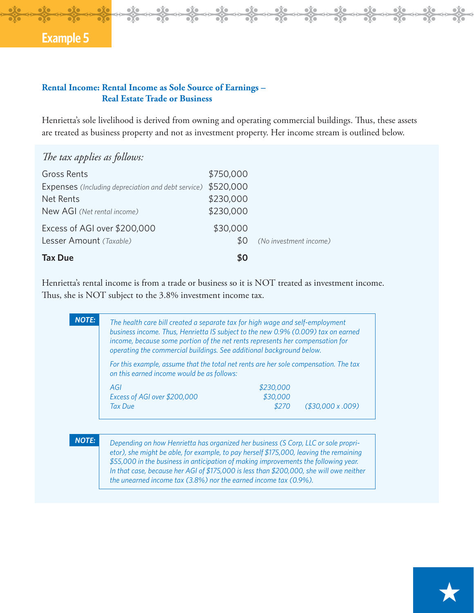### **Rental Income: Rental Income as Sole Source of Earnings – Real Estate Trade or Business**

Henrietta's sole livelihood is derived from owning and operating commercial buildings. Thus, these assets are treated as business property and not as investment property. Her income stream is outlined below.

 $\frac{1}{2}$ 

 $\frac{1}{20}$ 

 $\leftrightarrow$ 

 $\frac{1}{2}$ 

 $\frac{1}{2}$ 

 $\leftrightarrow$ 

 $\frac{1}{20}$ 

 $\frac{1}{20}$ 

| The tax applies as follows:                        |           |                        |
|----------------------------------------------------|-----------|------------------------|
| <b>Gross Rents</b>                                 | \$750,000 |                        |
| Expenses (Including depreciation and debt service) | \$520,000 |                        |
| Net Rents                                          | \$230,000 |                        |
| New AGI (Net rental income)                        | \$230,000 |                        |
| Excess of AGI over \$200,000                       | \$30,000  |                        |
| Lesser Amount (Taxable)                            | 80        | (No investment income) |
| <b>Tax Due</b>                                     | \$0       |                        |

Henrietta's rental income is from a trade or business so it is NOT treated as investment income. Thus, she is NOT subject to the 3.8% investment income tax.

| The health care bill created a separate tax for high wage and self-employment<br>business income. Thus, Henrietta IS subject to the new 0.9% (0.009) tax on earned<br>income, because some portion of the net rents represents her compensation for<br>operating the commercial buildings. See additional background below. |           |                      |
|-----------------------------------------------------------------------------------------------------------------------------------------------------------------------------------------------------------------------------------------------------------------------------------------------------------------------------|-----------|----------------------|
| For this example, assume that the total net rents are her sole compensation. The tax<br>on this earned income would be as follows:                                                                                                                                                                                          |           |                      |
| AGI                                                                                                                                                                                                                                                                                                                         | \$230,000 |                      |
| Excess of AGI over \$200,000                                                                                                                                                                                                                                                                                                | \$30,000  |                      |
| <b>Tax Due</b>                                                                                                                                                                                                                                                                                                              | \$270     | $($ \$30,000 x .009) |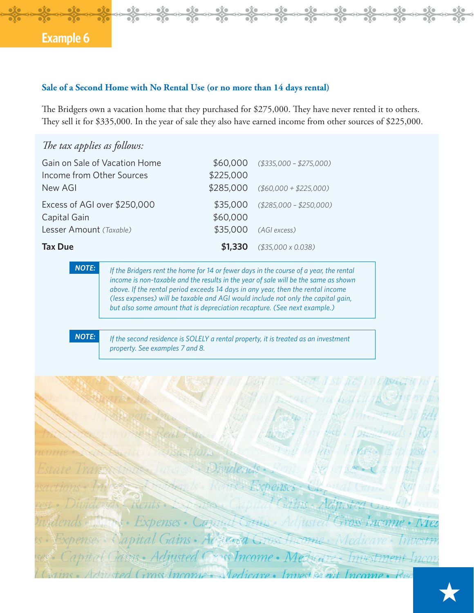### **Sale of a Second Home with No Rental Use (or no more than 14 days rental)**

The Bridgers own a vacation home that they purchased for \$275,000. They have never rented it to others. They sell it for \$335,000. In the year of sale they also have earned income from other sources of \$225,000.

| The tax applies as follows:                                           |                                 |                       |                                                                                                                                                                                                                                                                                                                                                                                                                                  |
|-----------------------------------------------------------------------|---------------------------------|-----------------------|----------------------------------------------------------------------------------------------------------------------------------------------------------------------------------------------------------------------------------------------------------------------------------------------------------------------------------------------------------------------------------------------------------------------------------|
| Gain on Sale of Vacation Home<br>Income from Other Sources<br>New AGI |                                 | \$60,000<br>\$225,000 | $($335,000 - $275,000)$                                                                                                                                                                                                                                                                                                                                                                                                          |
|                                                                       |                                 | \$285,000             | $($60,000 + $225,000)$                                                                                                                                                                                                                                                                                                                                                                                                           |
| Excess of AGI over \$250,000<br>Capital Gain                          |                                 | \$35,000<br>\$60,000  | $( $285,000 - $250,000)$                                                                                                                                                                                                                                                                                                                                                                                                         |
| Lesser Amount (Taxable)                                               |                                 | \$35,000              | (AGI excess)                                                                                                                                                                                                                                                                                                                                                                                                                     |
| <b>Tax Due</b>                                                        |                                 | \$1,330               | $( $35,000 \times 0.038)$                                                                                                                                                                                                                                                                                                                                                                                                        |
| <b>NOTE:</b>                                                          |                                 |                       | If the Bridgers rent the home for 14 or fewer days in the course of a year, the rental<br>income is non-taxable and the results in the year of sale will be the same as shown<br>above. If the rental period exceeds 14 days in any year, then the rental income<br>(less expenses) will be taxable and AGI would include not only the capital gain,<br>but also some amount that is depreciation recapture. (See next example.) |
| <b>NOTE:</b>                                                          | property. See examples 7 and 8. |                       | If the second residence is SOLELY a rental property, it is treated as an investment                                                                                                                                                                                                                                                                                                                                              |

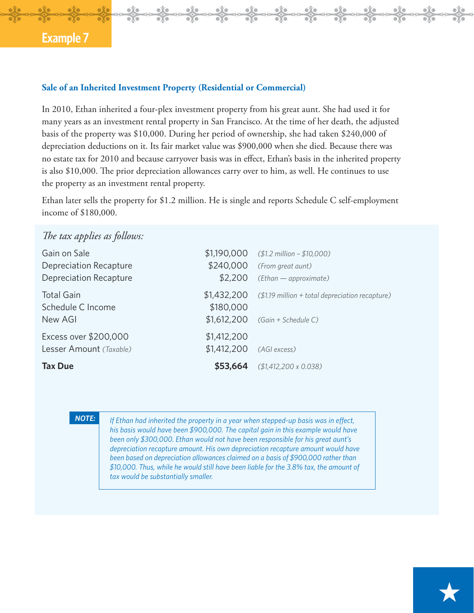#### **Sale of an Inherited Investment Property (Residential or Commercial)**

In 2010, Ethan inherited a four-plex investment property from his great aunt. She had used it for many years as an investment rental property in San Francisco. At the time of her death, the adjusted basis of the property was \$10,000. During her period of ownership, she had taken \$240,000 of depreciation deductions on it. Its fair market value was \$900,000 when she died. Because there was no estate tax for 2010 and because carryover basis was in effect, Ethan's basis in the inherited property is also \$10,000. The prior depreciation allowances carry over to him, as well. He continues to use the property as an investment rental property.

**D**<sub>C</sub>

 $\frac{1}{2}$ 

œ

Ethan later sells the property for \$1.2 million. He is single and reports Schedule C self-employment income of \$180,000.

| The tax applies as follows: |             |                                                             |
|-----------------------------|-------------|-------------------------------------------------------------|
| Gain on Sale                |             | $$1,190,000$ (\$1.2 million - \$10,000)                     |
| Depreciation Recapture      |             | $$240,000$ (From great aunt)                                |
| Depreciation Recapture      | \$2,200     | (Ethan - approximate)                                       |
| <b>Total Gain</b>           |             | \$1,432,200 (\$1.19 million + total depreciation recapture) |
| Schedule C Income           | \$180,000   |                                                             |
| New AGI                     |             | $$1,612,200$ (Gain + Schedule C)                            |
| Excess over \$200,000       | \$1,412,200 |                                                             |
| Lesser Amount (Taxable)     | \$1,412,200 | (AGI excess)                                                |
| <b>Tax Due</b>              | \$53,664    | $( $1,412,200 \times 0.038)$                                |

#### *NOTE:*

*If Ethan had inherited the property in a year when stepped-up basis was in effect, his basis would have been \$900,000. The capital gain in this example would have been only \$300,000. Ethan would not have been responsible for his great aunt's depreciation recapture amount. His own depreciation recapture amount would have been based on depreciation allowances claimed on a basis of \$900,000 rather than \$10,000. Thus, while he would still have been liable for the 3.8% tax, the amount of tax would be substantially smaller.*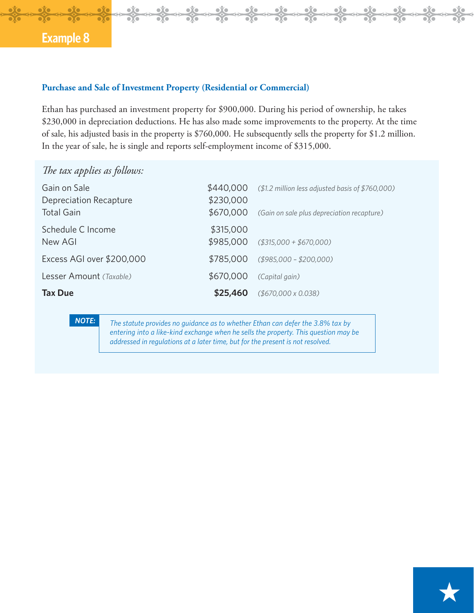### **Purchase and Sale of Investment Property (Residential or Commercial)**

Ethan has purchased an investment property for \$900,000. During his period of ownership, he takes \$230,000 in depreciation deductions. He has also made some improvements to the property. At the time of sale, his adjusted basis in the property is \$760,000. He subsequently sells the property for \$1.2 million. In the year of sale, he is single and reports self-employment income of \$315,000.

 $\frac{1}{2}$ 

 $\frac{1}{20}$  $\leftrightarrow$ 

œ

 $\frac{1}{20}$ 

 $\frac{1}{20}$ 

| The tax applies as follows:                                 |                                     |                                                                                                |
|-------------------------------------------------------------|-------------------------------------|------------------------------------------------------------------------------------------------|
| Gain on Sale<br>Depreciation Recapture<br><b>Total Gain</b> | \$440,000<br>\$230,000<br>\$670,000 | (\$1.2 million less adjusted basis of \$760,000)<br>(Gain on sale plus depreciation recapture) |
| Schedule C Income<br>New AGI                                | \$315,000                           | $$985,000$ (\$315,000 + \$670,000)                                                             |
| Excess AGI over \$200,000                                   | \$785,000                           | $($985,000 - $200,000)$                                                                        |
| Lesser Amount (Taxable)                                     | \$670,000                           | (Capital gain)                                                                                 |
| <b>Tax Due</b>                                              | \$25,460                            | $($670,000 \times 0.038)$                                                                      |

### *NOTE:*

*The statute provides no guidance as to whether Ethan can defer the 3.8% tax by entering into a like-kind exchange when he sells the property. This question may be addressed in regulations at a later time, but for the present is not resolved.*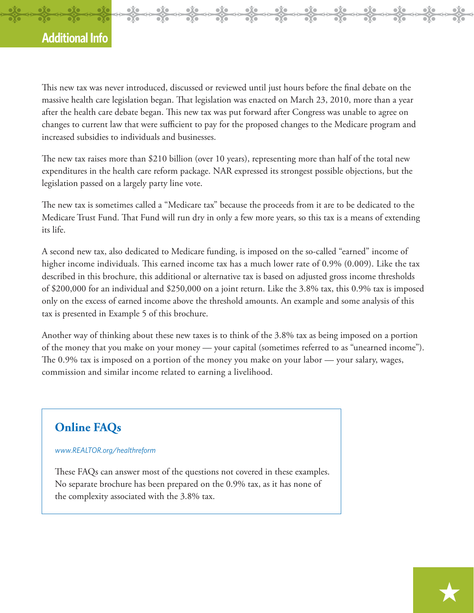### **Additional Info**

This new tax was never introduced, discussed or reviewed until just hours before the final debate on the massive health care legislation began. That legislation was enacted on March 23, 2010, more than a year after the health care debate began. This new tax was put forward after Congress was unable to agree on changes to current law that were sufficient to pay for the proposed changes to the Medicare program and increased subsidies to individuals and businesses.

**D**<sub>C</sub>

 $\frac{1}{\sqrt{2}}$ 

 $\frac{1}{2}$ 

 $\Leftrightarrow$ 

 $\overline{\phantom{a}}$ 

The new tax raises more than \$210 billion (over 10 years), representing more than half of the total new expenditures in the health care reform package. NAR expressed its strongest possible objections, but the legislation passed on a largely party line vote.

The new tax is sometimes called a "Medicare tax" because the proceeds from it are to be dedicated to the Medicare Trust Fund. That Fund will run dry in only a few more years, so this tax is a means of extending its life.

A second new tax, also dedicated to Medicare funding, is imposed on the so-called "earned" income of higher income individuals. This earned income tax has a much lower rate of 0.9% (0.009). Like the tax described in this brochure, this additional or alternative tax is based on adjusted gross income thresholds of \$200,000 for an individual and \$250,000 on a joint return. Like the 3.8% tax, this 0.9% tax is imposed only on the excess of earned income above the threshold amounts. An example and some analysis of this tax is presented in Example 5 of this brochure.

Another way of thinking about these new taxes is to think of the 3.8% tax as being imposed on a portion of the money that you make on your money — your capital (sometimes referred to as "unearned income"). The  $0.9\%$  tax is imposed on a portion of the money you make on your labor — your salary, wages, commission and similar income related to earning a livelihood.

### **Online FAQs**

#### *www.REALTOR.org/healthreform*

These FAQs can answer most of the questions not covered in these examples. No separate brochure has been prepared on the 0.9% tax, as it has none of the complexity associated with the 3.8% tax.